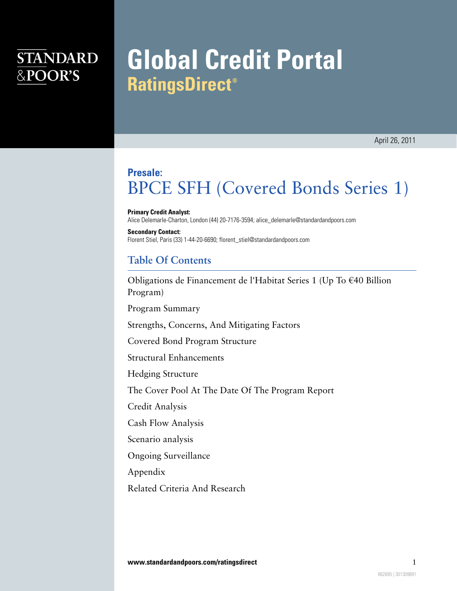# **STANDARD** &POOR'S

# **Global Credit Portal RatingsDirect<sup>®</sup>**

## **Presale:** BPCE SFH (Covered Bonds Series 1)

**Primary Credit Analyst:**

Alice Delemarle-Charton, London (44) 20-7176-3594; alice\_delemarle@standardandpoors.com

**Secondary Contact:** Florent Stiel, Paris (33) 1-44-20-6690; florent\_stiel@standardandpoors.com

### **Table Of Contents**

[Obligations de Financement de l'Habitat Series 1 \(Up To €40 Billion](#page-1-0) [Program\)](#page-1-0)

[Program Summary](#page-2-0)

[Strengths, Concerns, And Mitigating Factors](#page-4-0)

[Covered Bond Program Structure](#page-5-0)

[Structural Enhancements](#page-7-0)

[Hedging Structure](#page-8-0)

[The Cover Pool At The Date Of The Program Report](#page-9-0)

[Credit Analysis](#page-9-1)

[Cash Flow Analysis](#page-10-0)

[Scenario analysis](#page-12-0)

[Ongoing Surveillance](#page-13-0)

[Appendix](#page-13-1)

[Related Criteria And Research](#page-18-0)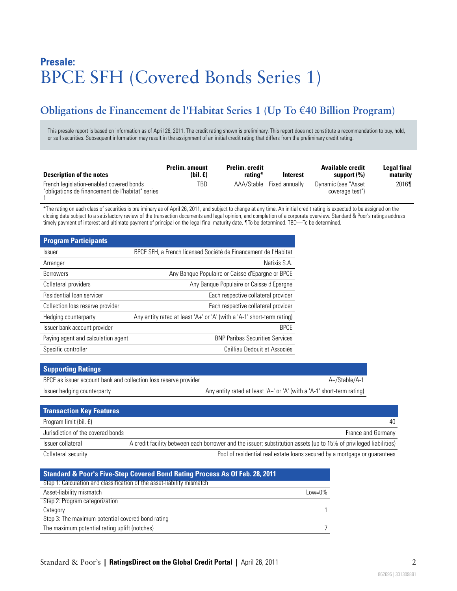# **Presale:** BPCE SFH (Covered Bonds Series 1)

### <span id="page-1-0"></span>**Obligations de Financement de l'Habitat Series 1 (Up To €40 Billion Program)**

This presale report is based on information as of April 26, 2011. The credit rating shown is preliminary. This report does not constitute a recommendation to buy, hold, or sell securities. Subsequent information may result in the assignment of an initial credit rating that differs from the preliminary credit rating.

| <b>Description of the notes</b>                                                              | <b>Prelim.</b> amount<br>(bil. $\epsilon$ ) | <b>Prelim.</b> credit<br>rating* | Interest       | <b>Available credit</b><br>support $(\% )$ | Legal final<br>maturity |
|----------------------------------------------------------------------------------------------|---------------------------------------------|----------------------------------|----------------|--------------------------------------------|-------------------------|
| French legislation-enabled covered bonds<br>"obligations de financement de l'habitat" series | TBD                                         | AAA/Stable                       | Fixed annually | Dynamic (see "Asset<br>coverage test")     | 2016¶                   |

\*The rating on each class of securities is preliminary as of April 26, 2011, and subject to change at any time. An initial credit rating is expected to be assigned on the closing date subject to a satisfactory review of the transaction documents and legal opinion, and completion of a corporate overview. Standard & Poor's ratings address timely payment of interest and ultimate payment of principal on the legal final maturity date. ¶To be determined. TBD—To be determined.

| <b>Program Participants</b>        |                                                                        |
|------------------------------------|------------------------------------------------------------------------|
| <i><u><b>Issuer</b></u></i>        | BPCE SFH, a French licensed Société de Financement de l'Habitat        |
| Arranger                           | Natixis S.A.                                                           |
| <b>Borrowers</b>                   | Any Banque Populaire or Caisse d'Epargne or BPCE                       |
| Collateral providers               | Any Banque Populaire or Caisse d'Epargne                               |
| Residential loan servicer          | Each respective collateral provider                                    |
| Collection loss reserve provider   | Each respective collateral provider                                    |
| Hedging counterparty               | Any entity rated at least 'A+' or 'A' (with a 'A-1' short-term rating) |
| Issuer bank account provider       | <b>BPCE</b>                                                            |
| Paying agent and calculation agent | <b>BNP Paribas Securities Services</b>                                 |
| Specific controller                | Cailliau Dedouit et Associés                                           |

| <b>Supporting Ratings</b>                                        |                                                                        |  |
|------------------------------------------------------------------|------------------------------------------------------------------------|--|
| BPCE as issuer account bank and collection loss reserve provider | A+/Stable/A-1                                                          |  |
| Issuer hedging counterparty                                      | Any entity rated at least 'A+' or 'A' (with a 'A-1' short-term rating) |  |

| <b>Transaction Key Features</b>   |                                                                                                                   |
|-----------------------------------|-------------------------------------------------------------------------------------------------------------------|
| Program limit (bil. $\epsilon$ )  | 40                                                                                                                |
| Jurisdiction of the covered bonds | France and Germany                                                                                                |
| Issuer collateral                 | A credit facility between each borrower and the issuer; substitution assets (up to 15% of privileged liabilities) |
| Collateral security               | Pool of residential real estate loans secured by a mortgage or quarantees                                         |

| <b>Standard &amp; Poor's Five-Step Covered Bond Rating Process As Of Feb. 28, 2011</b> |           |  |
|----------------------------------------------------------------------------------------|-----------|--|
| Step 1: Calculation and classification of the asset-liability mismatch                 |           |  |
| Asset-liability mismatch                                                               | $Low=0\%$ |  |
| Step 2: Program categorization                                                         |           |  |
| Category                                                                               |           |  |
| Step 3: The maximum potential covered bond rating                                      |           |  |
| The maximum potential rating uplift (notches)                                          |           |  |
|                                                                                        |           |  |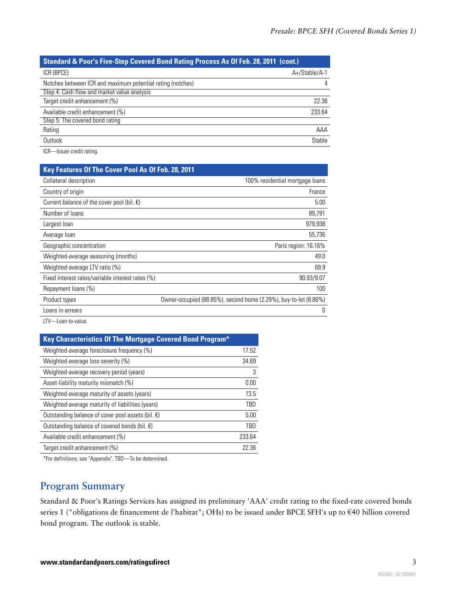| <b>Standard &amp; Poor's Five-Step Covered Bond Rating Process As Of Feb. 28, 2011 (cont.)</b> |               |  |
|------------------------------------------------------------------------------------------------|---------------|--|
| ICR (BPCE)                                                                                     | A+/Stable/A-1 |  |
| Notches between ICR and maximum potential rating (notches)                                     | 4             |  |
| Step 4: Cash flow and market value analysis                                                    |               |  |
| Target credit enhancement (%)                                                                  | 22.36         |  |
| Available credit enhancement (%)                                                               | 233.64        |  |
| Step 5: The covered bond rating                                                                |               |  |
| Rating                                                                                         | AAA           |  |
| Outlook                                                                                        | Stable        |  |

ICR—Issuer credit rating.

| Key Features Of The Cover Pool As Of Feb. 28, 2011   |                                                                  |
|------------------------------------------------------|------------------------------------------------------------------|
| Collateral description                               | 100% residential mortgage loans                                  |
| Country of origin                                    | France                                                           |
| Current balance of the cover pool (bil. $\epsilon$ ) | 5.00                                                             |
| Number of loans                                      | 89,791                                                           |
| Largest Ioan                                         | 979.938                                                          |
| Average loan                                         | 55,736                                                           |
| Geographic concentration                             | Paris region: 16.16%                                             |
| Weighted-average seasoning (months)                  | 49.0                                                             |
| Weighted-average LTV ratio (%)                       | 69.9                                                             |
| Fixed interest rates/variable interest rates (%)     | 90.93/9.07                                                       |
| Repayment loans (%)                                  | 100                                                              |
| Product types                                        | Owner-occupied (88.85%), second home (2.29%), buy-to-let (8.86%) |
| Loans in arrears                                     | 0                                                                |

LTV—Loan-to-value.

| Key Characteristics Of The Mortgage Covered Bond Program*   |        |
|-------------------------------------------------------------|--------|
| Weighted-average foreclosure frequency (%)                  | 17.52  |
| Weighted-average loss severity (%)                          | 34.69  |
| Weighted-average recovery period (years)                    | 3      |
| Asset-liability maturity mismatch (%)                       | 0.00   |
| Weighted-average maturity of assets (years)                 | 13.5   |
| Weighted-average maturity of liabilities (years)            | TBD    |
| Outstanding balance of cover pool assets (bil. $\epsilon$ ) | 5.00   |
| Outstanding balance of covered bonds (bil. $\epsilon$ )     | TBD    |
| Available credit enhancement (%)                            | 233.64 |
| Target credit enhancement (%)                               | 22.36  |

<span id="page-2-0"></span>\*For definitions, see "Appendix". TBD—To be determined.

### **Program Summary**

Standard & Poor's Ratings Services has assigned its preliminary 'AAA' credit rating to the fixed-rate covered bonds series 1 ("obligations de financement de l'habitat"; OHs) to be issued under BPCE SFH's up to €40 billion covered bond program. The outlook is stable.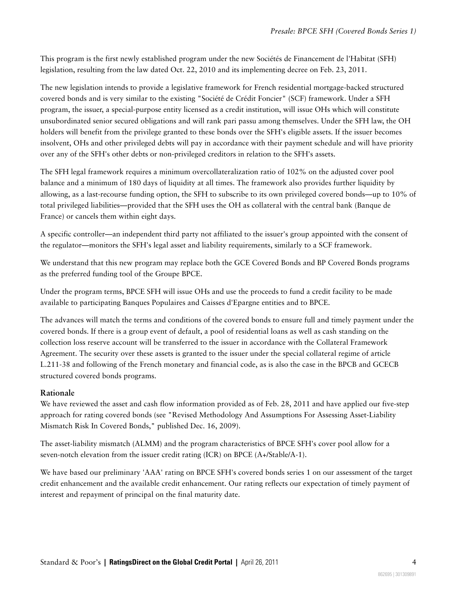This program is the first newly established program under the new Sociétés de Financement de l'Habitat (SFH) legislation, resulting from the law dated Oct. 22, 2010 and its implementing decree on Feb. 23, 2011.

The new legislation intends to provide a legislative framework for French residential mortgage-backed structured covered bonds and is very similar to the existing "Société de Crédit Foncier" (SCF) framework. Under a SFH program, the issuer, a special-purpose entity licensed as a credit institution, will issue OHs which will constitute unsubordinated senior secured obligations and will rank pari passu among themselves. Under the SFH law, the OH holders will benefit from the privilege granted to these bonds over the SFH's eligible assets. If the issuer becomes insolvent, OHs and other privileged debts will pay in accordance with their payment schedule and will have priority over any of the SFH's other debts or non-privileged creditors in relation to the SFH's assets.

The SFH legal framework requires a minimum overcollateralization ratio of 102% on the adjusted cover pool balance and a minimum of 180 days of liquidity at all times. The framework also provides further liquidity by allowing, as a last-recourse funding option, the SFH to subscribe to its own privileged covered bonds—up to 10% of total privileged liabilities—provided that the SFH uses the OH as collateral with the central bank (Banque de France) or cancels them within eight days.

A specific controller—an independent third party not affiliated to the issuer's group appointed with the consent of the regulator—monitors the SFH's legal asset and liability requirements, similarly to a SCF framework.

We understand that this new program may replace both the GCE Covered Bonds and BP Covered Bonds programs as the preferred funding tool of the Groupe BPCE.

Under the program terms, BPCE SFH will issue OHs and use the proceeds to fund a credit facility to be made available to participating Banques Populaires and Caisses d'Epargne entities and to BPCE.

The advances will match the terms and conditions of the covered bonds to ensure full and timely payment under the covered bonds. If there is a group event of default, a pool of residential loans as well as cash standing on the collection loss reserve account will be transferred to the issuer in accordance with the Collateral Framework Agreement. The security over these assets is granted to the issuer under the special collateral regime of article L.211-38 and following of the French monetary and financial code, as is also the case in the BPCB and GCECB structured covered bonds programs.

### **Rationale**

We have reviewed the asset and cash flow information provided as of Feb. 28, 2011 and have applied our five-step approach for rating covered bonds (see "Revised Methodology And Assumptions For Assessing Asset-Liability Mismatch Risk In Covered Bonds," published Dec. 16, 2009).

The asset-liability mismatch (ALMM) and the program characteristics of BPCE SFH's cover pool allow for a seven-notch elevation from the issuer credit rating (ICR) on BPCE (A+/Stable/A-1).

We have based our preliminary 'AAA' rating on BPCE SFH's covered bonds series 1 on our assessment of the target credit enhancement and the available credit enhancement. Our rating reflects our expectation of timely payment of interest and repayment of principal on the final maturity date.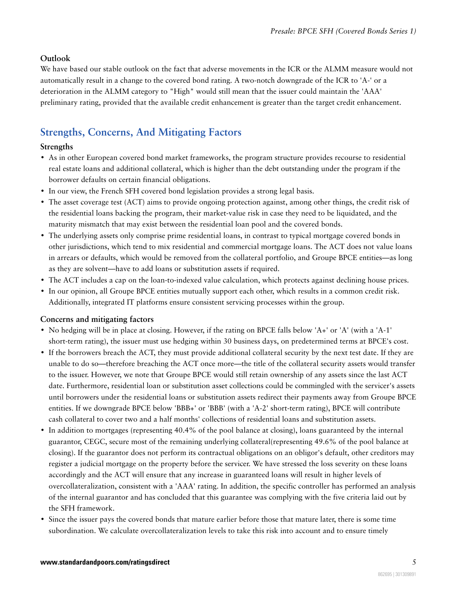### **Outlook**

We have based our stable outlook on the fact that adverse movements in the ICR or the ALMM measure would not automatically result in a change to the covered bond rating. A two-notch downgrade of the ICR to 'A-' or a deterioration in the ALMM category to "High" would still mean that the issuer could maintain the 'AAA' preliminary rating, provided that the available credit enhancement is greater than the target credit enhancement.

### <span id="page-4-0"></span>**Strengths, Concerns, And Mitigating Factors**

### **Strengths**

- As in other European covered bond market frameworks, the program structure provides recourse to residential real estate loans and additional collateral, which is higher than the debt outstanding under the program if the borrower defaults on certain financial obligations.
- In our view, the French SFH covered bond legislation provides a strong legal basis.
- The asset coverage test (ACT) aims to provide ongoing protection against, among other things, the credit risk of the residential loans backing the program, their market-value risk in case they need to be liquidated, and the maturity mismatch that may exist between the residential loan pool and the covered bonds.
- The underlying assets only comprise prime residential loans, in contrast to typical mortgage covered bonds in other jurisdictions, which tend to mix residential and commercial mortgage loans. The ACT does not value loans in arrears or defaults, which would be removed from the collateral portfolio, and Groupe BPCE entities—as long as they are solvent—have to add loans or substitution assets if required.
- The ACT includes a cap on the loan-to-indexed value calculation, which protects against declining house prices.
- In our opinion, all Groupe BPCE entities mutually support each other, which results in a common credit risk. Additionally, integrated IT platforms ensure consistent servicing processes within the group.

### **Concerns and mitigating factors**

- No hedging will be in place at closing. However, if the rating on BPCE falls below 'A+' or 'A' (with a 'A-1' short-term rating), the issuer must use hedging within 30 business days, on predetermined terms at BPCE's cost.
- If the borrowers breach the ACT, they must provide additional collateral security by the next test date. If they are unable to do so—therefore breaching the ACT once more—the title of the collateral security assets would transfer to the issuer. However, we note that Groupe BPCE would still retain ownership of any assets since the last ACT date. Furthermore, residential loan or substitution asset collections could be commingled with the servicer's assets until borrowers under the residential loans or substitution assets redirect their payments away from Groupe BPCE entities. If we downgrade BPCE below 'BBB+' or 'BBB' (with a 'A-2' short-term rating), BPCE will contribute cash collateral to cover two and a half months' collections of residential loans and substitution assets.
- In addition to mortgages (representing 40.4% of the pool balance at closing), loans guaranteed by the internal guarantor, CEGC, secure most of the remaining underlying collateral(representing 49.6% of the pool balance at closing). If the guarantor does not perform its contractual obligations on an obligor's default, other creditors may register a judicial mortgage on the property before the servicer. We have stressed the loss severity on these loans accordingly and the ACT will ensure that any increase in guaranteed loans will result in higher levels of overcollateralization, consistent with a 'AAA' rating. In addition, the specific controller has performed an analysis of the internal guarantor and has concluded that this guarantee was complying with the five criteria laid out by the SFH framework.
- Since the issuer pays the covered bonds that mature earlier before those that mature later, there is some time subordination. We calculate overcollateralization levels to take this risk into account and to ensure timely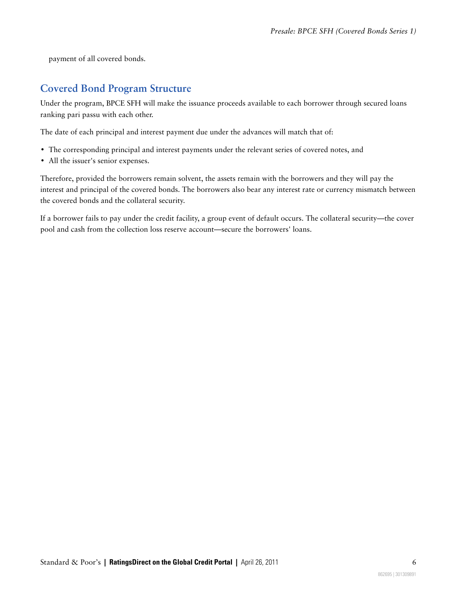payment of all covered bonds.

### <span id="page-5-0"></span>**Covered Bond Program Structure**

Under the program, BPCE SFH will make the issuance proceeds available to each borrower through secured loans ranking pari passu with each other.

The date of each principal and interest payment due under the advances will match that of:

- The corresponding principal and interest payments under the relevant series of covered notes, and
- All the issuer's senior expenses.

Therefore, provided the borrowers remain solvent, the assets remain with the borrowers and they will pay the interest and principal of the covered bonds. The borrowers also bear any interest rate or currency mismatch between the covered bonds and the collateral security.

If a borrower fails to pay under the credit facility, a group event of default occurs. The collateral security—the cover pool and cash from the collection loss reserve account—secure the borrowers' loans.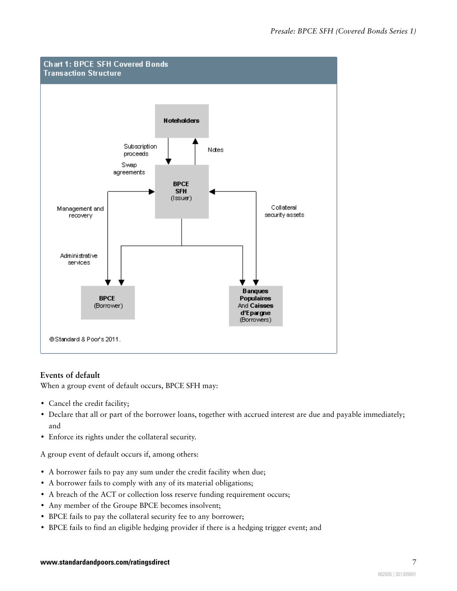

### **Events of default**

When a group event of default occurs, BPCE SFH may:

- Cancel the credit facility;
- Declare that all or part of the borrower loans, together with accrued interest are due and payable immediately; and
- Enforce its rights under the collateral security.

A group event of default occurs if, among others:

- A borrower fails to pay any sum under the credit facility when due;
- A borrower fails to comply with any of its material obligations;
- A breach of the ACT or collection loss reserve funding requirement occurs;
- Any member of the Groupe BPCE becomes insolvent;
- BPCE fails to pay the collateral security fee to any borrower;
- BPCE fails to find an eligible hedging provider if there is a hedging trigger event; and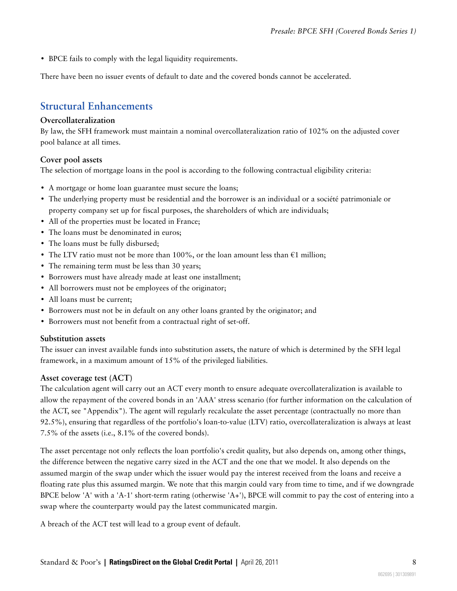• BPCE fails to comply with the legal liquidity requirements.

<span id="page-7-0"></span>There have been no issuer events of default to date and the covered bonds cannot be accelerated.

### **Structural Enhancements**

#### **Overcollateralization**

By law, the SFH framework must maintain a nominal overcollateralization ratio of 102% on the adjusted cover pool balance at all times.

### **Cover pool assets**

The selection of mortgage loans in the pool is according to the following contractual eligibility criteria:

- A mortgage or home loan guarantee must secure the loans;
- The underlying property must be residential and the borrower is an individual or a société patrimoniale or property company set up for fiscal purposes, the shareholders of which are individuals;
- All of the properties must be located in France;
- The loans must be denominated in euros:
- The loans must be fully disbursed;
- The LTV ratio must not be more than 100%, or the loan amount less than  $\epsilon$ 1 million;
- The remaining term must be less than 30 years;
- Borrowers must have already made at least one installment;
- All borrowers must not be employees of the originator;
- All loans must be current;
- Borrowers must not be in default on any other loans granted by the originator; and
- Borrowers must not benefit from a contractual right of set-off.

### **Substitution assets**

The issuer can invest available funds into substitution assets, the nature of which is determined by the SFH legal framework, in a maximum amount of 15% of the privileged liabilities.

### **Asset coverage test (ACT)**

The calculation agent will carry out an ACT every month to ensure adequate overcollateralization is available to allow the repayment of the covered bonds in an 'AAA' stress scenario (for further information on the calculation of the ACT, see "Appendix"). The agent will regularly recalculate the asset percentage (contractually no more than 92.5%), ensuring that regardless of the portfolio's loan-to-value (LTV) ratio, overcollateralization is always at least 7.5% of the assets (i.e., 8.1% of the covered bonds).

The asset percentage not only reflects the loan portfolio's credit quality, but also depends on, among other things, the difference between the negative carry sized in the ACT and the one that we model. It also depends on the assumed margin of the swap under which the issuer would pay the interest received from the loans and receive a floating rate plus this assumed margin. We note that this margin could vary from time to time, and if we downgrade BPCE below 'A' with a 'A-1' short-term rating (otherwise 'A+'), BPCE will commit to pay the cost of entering into a swap where the counterparty would pay the latest communicated margin.

A breach of the ACT test will lead to a group event of default.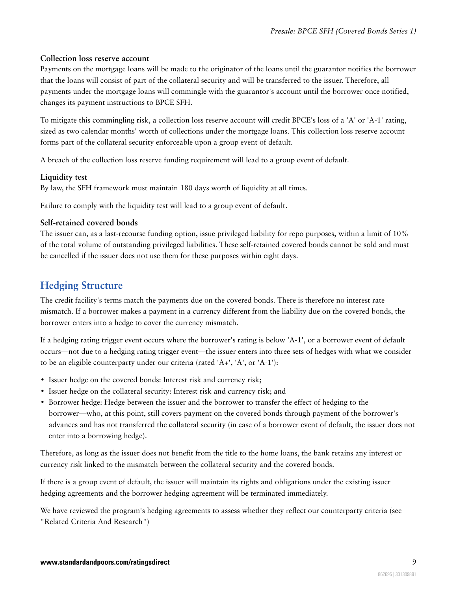### **Collection loss reserve account**

Payments on the mortgage loans will be made to the originator of the loans until the guarantor notifies the borrower that the loans will consist of part of the collateral security and will be transferred to the issuer. Therefore, all payments under the mortgage loans will commingle with the guarantor's account until the borrower once notified, changes its payment instructions to BPCE SFH.

To mitigate this commingling risk, a collection loss reserve account will credit BPCE's loss of a 'A' or 'A-1' rating, sized as two calendar months' worth of collections under the mortgage loans. This collection loss reserve account forms part of the collateral security enforceable upon a group event of default.

A breach of the collection loss reserve funding requirement will lead to a group event of default.

### **Liquidity test**

By law, the SFH framework must maintain 180 days worth of liquidity at all times.

Failure to comply with the liquidity test will lead to a group event of default.

#### **Self-retained covered bonds**

The issuer can, as a last-recourse funding option, issue privileged liability for repo purposes, within a limit of 10% of the total volume of outstanding privileged liabilities. These self-retained covered bonds cannot be sold and must be cancelled if the issuer does not use them for these purposes within eight days.

### <span id="page-8-0"></span>**Hedging Structure**

The credit facility's terms match the payments due on the covered bonds. There is therefore no interest rate mismatch. If a borrower makes a payment in a currency different from the liability due on the covered bonds, the borrower enters into a hedge to cover the currency mismatch.

If a hedging rating trigger event occurs where the borrower's rating is below 'A-1', or a borrower event of default occurs—not due to a hedging rating trigger event—the issuer enters into three sets of hedges with what we consider to be an eligible counterparty under our criteria (rated 'A+', 'A', or 'A-1'):

- Issuer hedge on the covered bonds: Interest risk and currency risk;
- Issuer hedge on the collateral security: Interest risk and currency risk; and
- Borrower hedge: Hedge between the issuer and the borrower to transfer the effect of hedging to the borrower—who, at this point, still covers payment on the covered bonds through payment of the borrower's advances and has not transferred the collateral security (in case of a borrower event of default, the issuer does not enter into a borrowing hedge).

Therefore, as long as the issuer does not benefit from the title to the home loans, the bank retains any interest or currency risk linked to the mismatch between the collateral security and the covered bonds.

If there is a group event of default, the issuer will maintain its rights and obligations under the existing issuer hedging agreements and the borrower hedging agreement will be terminated immediately.

We have reviewed the program's hedging agreements to assess whether they reflect our counterparty criteria (see "Related Criteria And Research")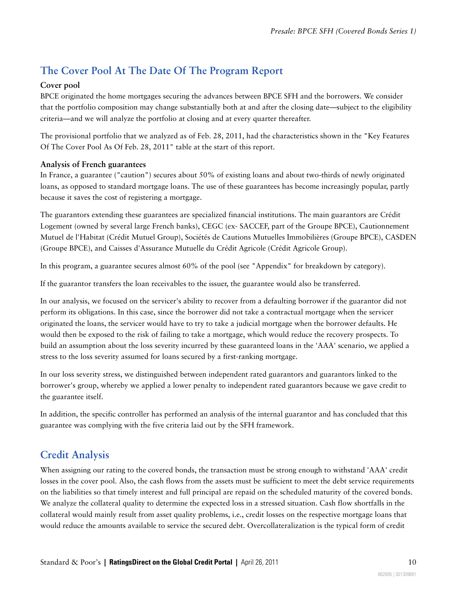### <span id="page-9-0"></span>**The Cover Pool At The Date Of The Program Report**

### **Cover pool**

BPCE originated the home mortgages securing the advances between BPCE SFH and the borrowers. We consider that the portfolio composition may change substantially both at and after the closing date—subject to the eligibility criteria—and we will analyze the portfolio at closing and at every quarter thereafter.

The provisional portfolio that we analyzed as of Feb. 28, 2011, had the characteristics shown in the "Key Features Of The Cover Pool As Of Feb. 28, 2011" table at the start of this report.

### **Analysis of French guarantees**

In France, a guarantee ("caution") secures about 50% of existing loans and about two-thirds of newly originated loans, as opposed to standard mortgage loans. The use of these guarantees has become increasingly popular, partly because it saves the cost of registering a mortgage.

The guarantors extending these guarantees are specialized financial institutions. The main guarantors are Crédit Logement (owned by several large French banks), CEGC (ex- SACCEF, part of the Groupe BPCE), Cautionnement Mutuel de l'Habitat (Crédit Mutuel Group), Sociétés de Cautions Mutuelles Immobilières (Groupe BPCE), CASDEN (Groupe BPCE), and Caisses d'Assurance Mutuelle du Crédit Agricole (Crédit Agricole Group).

In this program, a guarantee secures almost 60% of the pool (see "Appendix" for breakdown by category).

If the guarantor transfers the loan receivables to the issuer, the guarantee would also be transferred.

In our analysis, we focused on the servicer's ability to recover from a defaulting borrower if the guarantor did not perform its obligations. In this case, since the borrower did not take a contractual mortgage when the servicer originated the loans, the servicer would have to try to take a judicial mortgage when the borrower defaults. He would then be exposed to the risk of failing to take a mortgage, which would reduce the recovery prospects. To build an assumption about the loss severity incurred by these guaranteed loans in the 'AAA' scenario, we applied a stress to the loss severity assumed for loans secured by a first-ranking mortgage.

In our loss severity stress, we distinguished between independent rated guarantors and guarantors linked to the borrower's group, whereby we applied a lower penalty to independent rated guarantors because we gave credit to the guarantee itself.

In addition, the specific controller has performed an analysis of the internal guarantor and has concluded that this guarantee was complying with the five criteria laid out by the SFH framework.

### <span id="page-9-1"></span>**Credit Analysis**

When assigning our rating to the covered bonds, the transaction must be strong enough to withstand 'AAA' credit losses in the cover pool. Also, the cash flows from the assets must be sufficient to meet the debt service requirements on the liabilities so that timely interest and full principal are repaid on the scheduled maturity of the covered bonds. We analyze the collateral quality to determine the expected loss in a stressed situation. Cash flow shortfalls in the collateral would mainly result from asset quality problems, i.e., credit losses on the respective mortgage loans that would reduce the amounts available to service the secured debt. Overcollateralization is the typical form of credit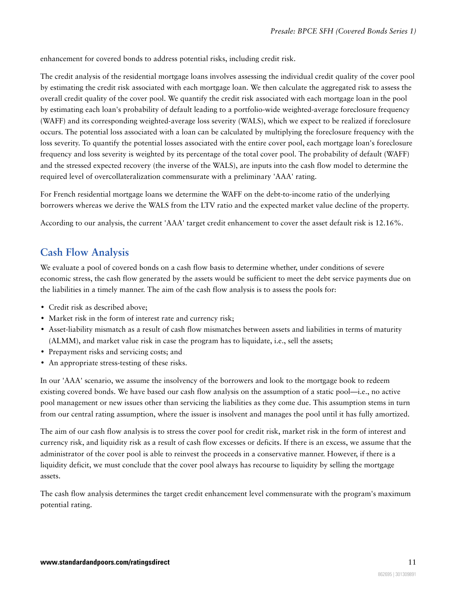enhancement for covered bonds to address potential risks, including credit risk.

The credit analysis of the residential mortgage loans involves assessing the individual credit quality of the cover pool by estimating the credit risk associated with each mortgage loan. We then calculate the aggregated risk to assess the overall credit quality of the cover pool. We quantify the credit risk associated with each mortgage loan in the pool by estimating each loan's probability of default leading to a portfolio-wide weighted-average foreclosure frequency (WAFF) and its corresponding weighted-average loss severity (WALS), which we expect to be realized if foreclosure occurs. The potential loss associated with a loan can be calculated by multiplying the foreclosure frequency with the loss severity. To quantify the potential losses associated with the entire cover pool, each mortgage loan's foreclosure frequency and loss severity is weighted by its percentage of the total cover pool. The probability of default (WAFF) and the stressed expected recovery (the inverse of the WALS), are inputs into the cash flow model to determine the required level of overcollateralization commensurate with a preliminary 'AAA' rating.

For French residential mortgage loans we determine the WAFF on the debt-to-income ratio of the underlying borrowers whereas we derive the WALS from the LTV ratio and the expected market value decline of the property.

<span id="page-10-0"></span>According to our analysis, the current 'AAA' target credit enhancement to cover the asset default risk is 12.16%.

### **Cash Flow Analysis**

We evaluate a pool of covered bonds on a cash flow basis to determine whether, under conditions of severe economic stress, the cash flow generated by the assets would be sufficient to meet the debt service payments due on the liabilities in a timely manner. The aim of the cash flow analysis is to assess the pools for:

- Credit risk as described above;
- Market risk in the form of interest rate and currency risk;
- Asset-liability mismatch as a result of cash flow mismatches between assets and liabilities in terms of maturity (ALMM), and market value risk in case the program has to liquidate, i.e., sell the assets;
- Prepayment risks and servicing costs; and
- An appropriate stress-testing of these risks.

In our 'AAA' scenario, we assume the insolvency of the borrowers and look to the mortgage book to redeem existing covered bonds. We have based our cash flow analysis on the assumption of a static pool—i.e., no active pool management or new issues other than servicing the liabilities as they come due. This assumption stems in turn from our central rating assumption, where the issuer is insolvent and manages the pool until it has fully amortized.

The aim of our cash flow analysis is to stress the cover pool for credit risk, market risk in the form of interest and currency risk, and liquidity risk as a result of cash flow excesses or deficits. If there is an excess, we assume that the administrator of the cover pool is able to reinvest the proceeds in a conservative manner. However, if there is a liquidity deficit, we must conclude that the cover pool always has recourse to liquidity by selling the mortgage assets.

The cash flow analysis determines the target credit enhancement level commensurate with the program's maximum potential rating.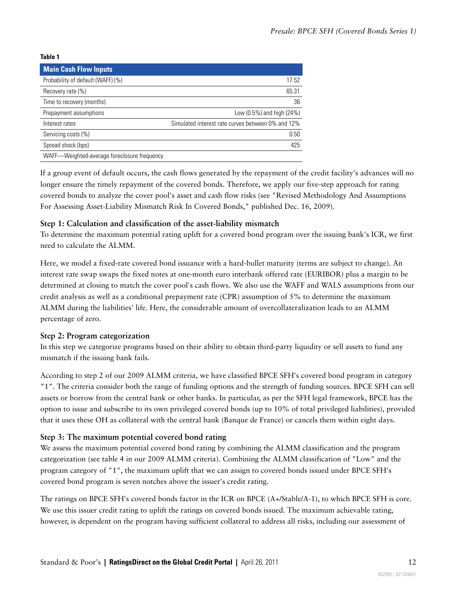#### **Table 1**

| <b>Main Cash Flow Inputs</b>                 |                                                   |
|----------------------------------------------|---------------------------------------------------|
| Probability of default (WAFF) (%)            | 17.52                                             |
| Recovery rate (%)                            | 65.31                                             |
| Time to recovery (months)                    | 36                                                |
| Prepayment assumptions                       | Low (0.5%) and high (24%)                         |
| Interest rates                               | Simulated interest rate curves between 0% and 12% |
| Servicing costs (%)                          | 0.50                                              |
| Spread shock (bps)                           | 425                                               |
| WAFF-Weighted-average foreclosure frequency. |                                                   |

If a group event of default occurs, the cash flows generated by the repayment of the credit facility's advances will no longer ensure the timely repayment of the covered bonds. Therefore, we apply our five-step approach for rating covered bonds to analyze the cover pool's asset and cash flow risks (see "Revised Methodology And Assumptions For Assessing Asset-Liability Mismatch Risk In Covered Bonds," published Dec. 16, 2009).

### **Step 1: Calculation and classification of the asset-liability mismatch**

To determine the maximum potential rating uplift for a covered bond program over the issuing bank's ICR, we first need to calculate the ALMM.

Here, we model a fixed-rate covered bond issuance with a hard-bullet maturity (terms are subject to change). An interest rate swap swaps the fixed notes at one-month euro interbank offered rate (EURIBOR) plus a margin to be determined at closing to match the cover pool's cash flows. We also use the WAFF and WALS assumptions from our credit analysis as well as a conditional prepayment rate (CPR) assumption of 5% to determine the maximum ALMM during the liabilities' life. Here, the considerable amount of overcollateralization leads to an ALMM percentage of zero.

#### **Step 2: Program categorization**

In this step we categorize programs based on their ability to obtain third-party liquidity or sell assets to fund any mismatch if the issuing bank fails.

According to step 2 of our 2009 ALMM criteria, we have classified BPCE SFH's covered bond program in category "1". The criteria consider both the range of funding options and the strength of funding sources. BPCE SFH can sell assets or borrow from the central bank or other banks. In particular, as per the SFH legal framework, BPCE has the option to issue and subscribe to its own privileged covered bonds (up to 10% of total privileged liabilities), provided that it uses these OH as collateral with the central bank (Banque de France) or cancels them within eight days.

### **Step 3: The maximum potential covered bond rating**

We assess the maximum potential covered bond rating by combining the ALMM classification and the program categorization (see table 4 in our 2009 ALMM criteria). Combining the ALMM classification of "Low" and the program category of "1", the maximum uplift that we can assign to covered bonds issued under BPCE SFH's covered bond program is seven notches above the issuer's credit rating.

The ratings on BPCE SFH's covered bonds factor in the ICR on BPCE (A+/Stable/A-1), to which BPCE SFH is core. We use this issuer credit rating to uplift the ratings on covered bonds issued. The maximum achievable rating, however, is dependent on the program having sufficient collateral to address all risks, including our assessment of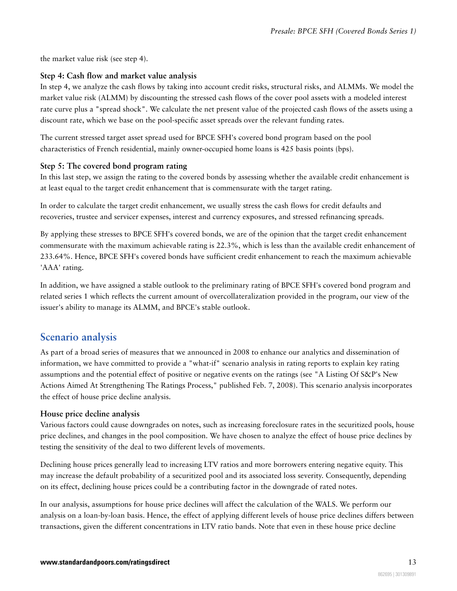the market value risk (see step 4).

### **Step 4: Cash flow and market value analysis**

In step 4, we analyze the cash flows by taking into account credit risks, structural risks, and ALMMs. We model the market value risk (ALMM) by discounting the stressed cash flows of the cover pool assets with a modeled interest rate curve plus a "spread shock". We calculate the net present value of the projected cash flows of the assets using a discount rate, which we base on the pool-specific asset spreads over the relevant funding rates.

The current stressed target asset spread used for BPCE SFH's covered bond program based on the pool characteristics of French residential, mainly owner-occupied home loans is 425 basis points (bps).

#### **Step 5: The covered bond program rating**

In this last step, we assign the rating to the covered bonds by assessing whether the available credit enhancement is at least equal to the target credit enhancement that is commensurate with the target rating.

In order to calculate the target credit enhancement, we usually stress the cash flows for credit defaults and recoveries, trustee and servicer expenses, interest and currency exposures, and stressed refinancing spreads.

By applying these stresses to BPCE SFH's covered bonds, we are of the opinion that the target credit enhancement commensurate with the maximum achievable rating is 22.3%, which is less than the available credit enhancement of 233.64%. Hence, BPCE SFH's covered bonds have sufficient credit enhancement to reach the maximum achievable 'AAA' rating.

In addition, we have assigned a stable outlook to the preliminary rating of BPCE SFH's covered bond program and related series 1 which reflects the current amount of overcollateralization provided in the program, our view of the issuer's ability to manage its ALMM, and BPCE's stable outlook.

### <span id="page-12-0"></span>**Scenario analysis**

As part of a broad series of measures that we announced in 2008 to enhance our analytics and dissemination of information, we have committed to provide a "what-if" scenario analysis in rating reports to explain key rating assumptions and the potential effect of positive or negative events on the ratings (see "A Listing Of S&P's New Actions Aimed At Strengthening The Ratings Process," published Feb. 7, 2008). This scenario analysis incorporates the effect of house price decline analysis.

#### **House price decline analysis**

Various factors could cause downgrades on notes, such as increasing foreclosure rates in the securitized pools, house price declines, and changes in the pool composition. We have chosen to analyze the effect of house price declines by testing the sensitivity of the deal to two different levels of movements.

Declining house prices generally lead to increasing LTV ratios and more borrowers entering negative equity. This may increase the default probability of a securitized pool and its associated loss severity. Consequently, depending on its effect, declining house prices could be a contributing factor in the downgrade of rated notes.

In our analysis, assumptions for house price declines will affect the calculation of the WALS. We perform our analysis on a loan-by-loan basis. Hence, the effect of applying different levels of house price declines differs between transactions, given the different concentrations in LTV ratio bands. Note that even in these house price decline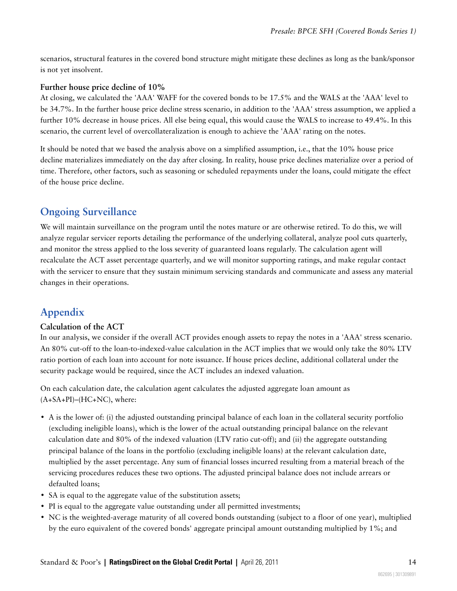scenarios, structural features in the covered bond structure might mitigate these declines as long as the bank/sponsor is not yet insolvent.

### **Further house price decline of 10%**

At closing, we calculated the 'AAA' WAFF for the covered bonds to be 17.5% and the WALS at the 'AAA' level to be 34.7%. In the further house price decline stress scenario, in addition to the 'AAA' stress assumption, we applied a further 10% decrease in house prices. All else being equal, this would cause the WALS to increase to 49.4%. In this scenario, the current level of overcollateralization is enough to achieve the 'AAA' rating on the notes.

It should be noted that we based the analysis above on a simplified assumption, i.e., that the 10% house price decline materializes immediately on the day after closing. In reality, house price declines materialize over a period of time. Therefore, other factors, such as seasoning or scheduled repayments under the loans, could mitigate the effect of the house price decline.

### <span id="page-13-0"></span>**Ongoing Surveillance**

We will maintain surveillance on the program until the notes mature or are otherwise retired. To do this, we will analyze regular servicer reports detailing the performance of the underlying collateral, analyze pool cuts quarterly, and monitor the stress applied to the loss severity of guaranteed loans regularly. The calculation agent will recalculate the ACT asset percentage quarterly, and we will monitor supporting ratings, and make regular contact with the servicer to ensure that they sustain minimum servicing standards and communicate and assess any material changes in their operations.

### <span id="page-13-1"></span>**Appendix**

### **Calculation of the ACT**

In our analysis, we consider if the overall ACT provides enough assets to repay the notes in a 'AAA' stress scenario. An 80% cut-off to the loan-to-indexed-value calculation in the ACT implies that we would only take the 80% LTV ratio portion of each loan into account for note issuance. If house prices decline, additional collateral under the security package would be required, since the ACT includes an indexed valuation.

On each calculation date, the calculation agent calculates the adjusted aggregate loan amount as  $(A+SA+PI)$ – $(HC+NC)$ , where:

- A is the lower of: (i) the adjusted outstanding principal balance of each loan in the collateral security portfolio (excluding ineligible loans), which is the lower of the actual outstanding principal balance on the relevant calculation date and 80% of the indexed valuation (LTV ratio cut-off); and (ii) the aggregate outstanding principal balance of the loans in the portfolio (excluding ineligible loans) at the relevant calculation date, multiplied by the asset percentage. Any sum of financial losses incurred resulting from a material breach of the servicing procedures reduces these two options. The adjusted principal balance does not include arrears or defaulted loans;
- SA is equal to the aggregate value of the substitution assets;
- PI is equal to the aggregate value outstanding under all permitted investments;
- NC is the weighted-average maturity of all covered bonds outstanding (subject to a floor of one year), multiplied by the euro equivalent of the covered bonds' aggregate principal amount outstanding multiplied by 1%; and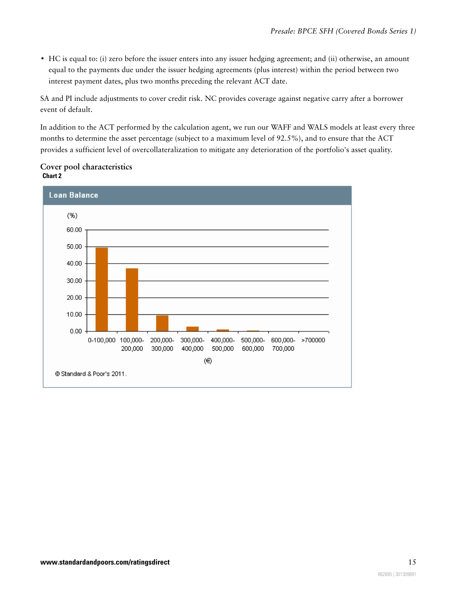• HC is equal to: (i) zero before the issuer enters into any issuer hedging agreement; and (ii) otherwise, an amount equal to the payments due under the issuer hedging agreements (plus interest) within the period between two interest payment dates, plus two months preceding the relevant ACT date.

SA and PI include adjustments to cover credit risk. NC provides coverage against negative carry after a borrower event of default.

In addition to the ACT performed by the calculation agent, we run our WAFF and WALS models at least every three months to determine the asset percentage (subject to a maximum level of 92.5%), and to ensure that the ACT provides a sufficient level of overcollateralization to mitigate any deterioration of the portfolio's asset quality.



### **Cover pool characteristics Chart 2**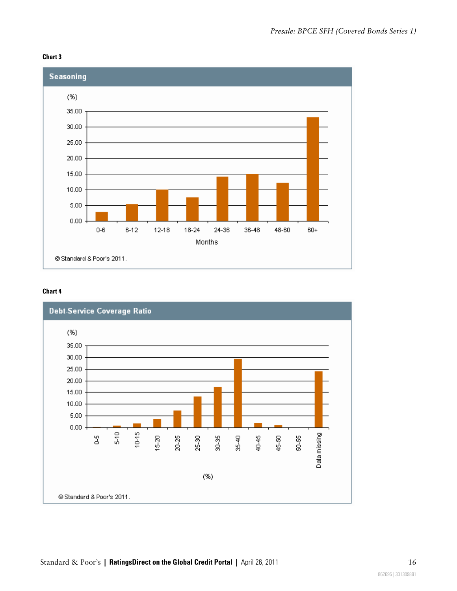#### **Chart 3**



#### **Chart 4**

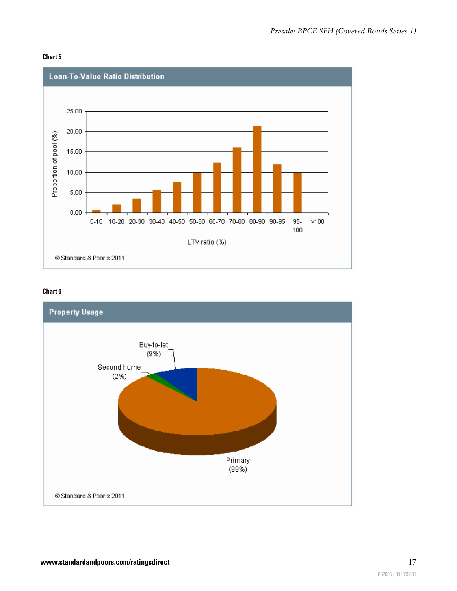



#### **Chart 6**

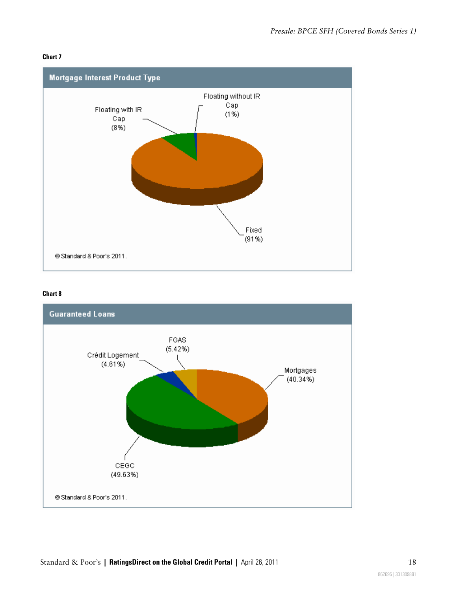#### **Chart 7**



#### **Chart 8**

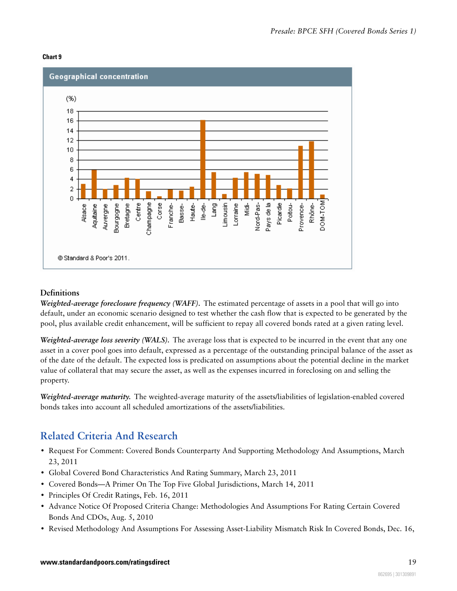



### **Definitions**

*Weighted-average foreclosure frequency (WAFF).* The estimated percentage of assets in a pool that will go into default, under an economic scenario designed to test whether the cash flow that is expected to be generated by the pool, plus available credit enhancement, will be sufficient to repay all covered bonds rated at a given rating level.

*Weighted-average loss severity (WALS).* The average loss that is expected to be incurred in the event that any one asset in a cover pool goes into default, expressed as a percentage of the outstanding principal balance of the asset as of the date of the default. The expected loss is predicated on assumptions about the potential decline in the market value of collateral that may secure the asset, as well as the expenses incurred in foreclosing on and selling the property.

*Weighted-average maturity.* The weighted-average maturity of the assets/liabilities of legislation-enabled covered bonds takes into account all scheduled amortizations of the assets/liabilities.

### <span id="page-18-0"></span>**Related Criteria And Research**

- Request For Comment: Covered Bonds Counterparty And Supporting Methodology And Assumptions, March 23, 2011
- Global Covered Bond Characteristics And Rating Summary, March 23, 2011
- Covered Bonds—A Primer On The Top Five Global Jurisdictions, March 14, 2011
- Principles Of Credit Ratings, Feb. 16, 2011
- Advance Notice Of Proposed Criteria Change: Methodologies And Assumptions For Rating Certain Covered Bonds And CDOs, Aug. 5, 2010
- Revised Methodology And Assumptions For Assessing Asset-Liability Mismatch Risk In Covered Bonds, Dec. 16,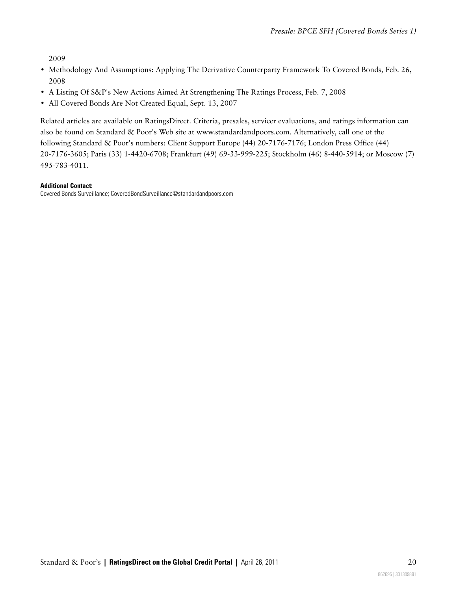2009

- Methodology And Assumptions: Applying The Derivative Counterparty Framework To Covered Bonds, Feb. 26, 2008
- A Listing Of S&P's New Actions Aimed At Strengthening The Ratings Process, Feb. 7, 2008
- All Covered Bonds Are Not Created Equal, Sept. 13, 2007

Related articles are available on RatingsDirect. Criteria, presales, servicer evaluations, and ratings information can also be found on Standard & Poor's Web site at www.standardandpoors.com. Alternatively, call one of the following Standard & Poor's numbers: Client Support Europe (44) 20-7176-7176; London Press Office (44) 20-7176-3605; Paris (33) 1-4420-6708; Frankfurt (49) 69-33-999-225; Stockholm (46) 8-440-5914; or Moscow (7) 495-783-4011.

#### **Additional Contact:**

Covered Bonds Surveillance; CoveredBondSurveillance@standardandpoors.com